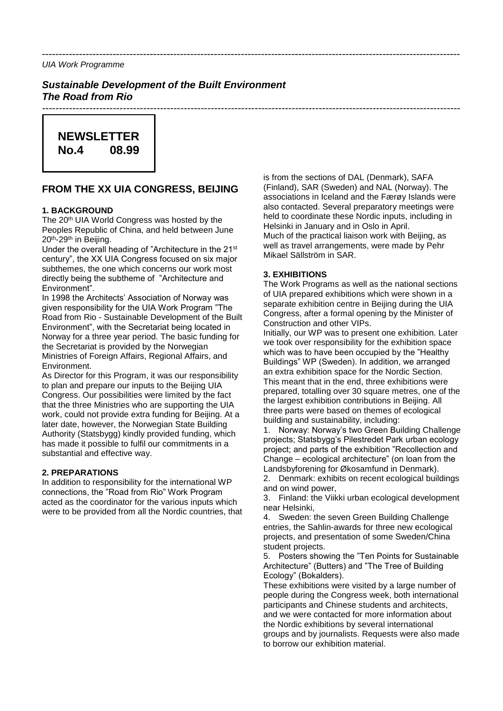*---------------------------------------------------------------------------------------------------------------------------- UIA Work Programme* 

*Sustainable Development of the Built Environment The Road from Rio*

# **NEWSLETTER No.4 08.99**

# **FROM THE XX UIA CONGRESS, BEIJING**

#### **1. BACKGROUND**

The 20<sup>th</sup> UIA World Congress was hosted by the Peoples Republic of China, and held between June 20th-29th in Beijing.

Under the overall heading of "Architecture in the 21st century", the XX UIA Congress focused on six major subthemes, the one which concerns our work most directly being the subtheme of "Architecture and Environment".

In 1998 the Architects' Association of Norway was given responsibility for the UIA Work Program "The Road from Rio - Sustainable Development of the Built Environment", with the Secretariat being located in Norway for a three year period. The basic funding for the Secretariat is provided by the Norwegian Ministries of Foreign Affairs, Regional Affairs, and Environment.

As Director for this Program, it was our responsibility to plan and prepare our inputs to the Beijing UIA Congress. Our possibilities were limited by the fact that the three Ministries who are supporting the UIA work, could not provide extra funding for Beijing. At a later date, however, the Norwegian State Building Authority (Statsbygg) kindly provided funding, which has made it possible to fulfil our commitments in a substantial and effective way.

#### **2. PREPARATIONS**

In addition to responsibility for the international WP connections, the "Road from Rio" Work Program acted as the coordinator for the various inputs which were to be provided from all the Nordic countries, that is from the sections of DAL (Denmark), SAFA (Finland), SAR (Sweden) and NAL (Norway). The associations in Iceland and the Færøy Islands were also contacted. Several preparatory meetings were held to coordinate these Nordic inputs, including in Helsinki in January and in Oslo in April. Much of the practical liaison work with Beijing, as well as travel arrangements, were made by Pehr Mikael Sällström in SAR.

## **3. EXHIBITIONS**

*----------------------------------------------------------------------------------------------------------------------------*

The Work Programs as well as the national sections of UIA prepared exhibitions which were shown in a separate exhibition centre in Beijing during the UIA Congress, after a formal opening by the Minister of Construction and other VIPs.

Initially, our WP was to present one exhibition. Later we took over responsibility for the exhibition space which was to have been occupied by the "Healthy Buildings" WP (Sweden). In addition, we arranged an extra exhibition space for the Nordic Section. This meant that in the end, three exhibitions were prepared, totalling over 30 square metres, one of the the largest exhibition contributions in Beijing. All three parts were based on themes of ecological building and sustainability, including:

1. Norway: Norway's two Green Building Challenge projects; Statsbygg's Pilestredet Park urban ecology project; and parts of the exhibition "Recollection and Change – ecological architecture" (on loan from the Landsbyforening for Økosamfund in Denmark).

2. Denmark: exhibits on recent ecological buildings and on wind power,

3. Finland: the Viikki urban ecological development near Helsinki,

4. Sweden: the seven Green Building Challenge entries, the Sahlin-awards for three new ecological projects, and presentation of some Sweden/China student projects.

5. Posters showing the "Ten Points for Sustainable Architecture" (Butters) and "The Tree of Building Ecology" (Bokalders).

These exhibitions were visited by a large number of people during the Congress week, both international participants and Chinese students and architects, and we were contacted for more information about the Nordic exhibitions by several international groups and by journalists. Requests were also made to borrow our exhibition material.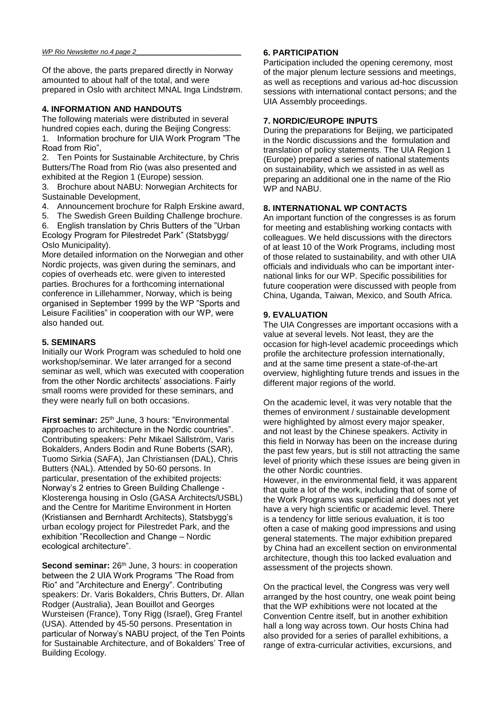Of the above, the parts prepared directly in Norway amounted to about half of the total, and were prepared in Oslo with architect MNAL Inga Lindstrøm.

#### **4. INFORMATION AND HANDOUTS**

The following materials were distributed in several hundred copies each, during the Beijing Congress: 1. Information brochure for UIA Work Program "The Road from Rio",

2. Ten Points for Sustainable Architecture, by Chris Butters/The Road from Rio (was also presented and exhibited at the Region 1 (Europe) session.

3. Brochure about NABU: Norwegian Architects for Sustainable Development,

- 4. Announcement brochure for Ralph Erskine award,
- 5. The Swedish Green Building Challenge brochure.

6. English translation by Chris Butters of the "Urban Ecology Program for Pilestredet Park" (Statsbygg/ Oslo Municipality).

More detailed information on the Norwegian and other Nordic projects, was given during the seminars, and copies of overheads etc. were given to interested parties. Brochures for a forthcoming international conference in Lillehammer, Norway, which is being organised in September 1999 by the WP "Sports and Leisure Facilities" in cooperation with our WP, were also handed out.

#### **5. SEMINARS**

Initially our Work Program was scheduled to hold one workshop/seminar. We later arranged for a second seminar as well, which was executed with cooperation from the other Nordic architects' associations. Fairly small rooms were provided for these seminars, and they were nearly full on both occasions.

**First seminar:** 25<sup>th</sup> June, 3 hours: "Environmental approaches to architecture in the Nordic countries". Contributing speakers: Pehr Mikael Sällström, Varis Bokalders, Anders Bodin and Rune Boberts (SAR), Tuomo Sirkia (SAFA), Jan Christiansen (DAL), Chris Butters (NAL). Attended by 50-60 persons. In particular, presentation of the exhibited projects: Norway's 2 entries to Green Building Challenge - Klosterenga housing in Oslo (GASA Architects/USBL) and the Centre for Maritime Environment in Horten (Kristiansen and Bernhardt Architects), Statsbygg's urban ecology project for Pilestredet Park, and the exhibition "Recollection and Change – Nordic ecological architecture".

**Second seminar:** 26<sup>th</sup> June, 3 hours: in cooperation between the 2 UIA Work Programs "The Road from Rio" and "Architecture and Energy". Contributing speakers: Dr. Varis Bokalders, Chris Butters, Dr. Allan Rodger (Australia), Jean Bouillot and Georges Wursteisen (France), Tony Rigg (Israel), Greg Frantel (USA). Attended by 45-50 persons. Presentation in particular of Norway's NABU project, of the Ten Points for Sustainable Architecture, and of Bokalders' Tree of Building Ecology.

#### **6. PARTICIPATION**

Participation included the opening ceremony, most of the major plenum lecture sessions and meetings, as well as receptions and various ad-hoc discussion sessions with international contact persons; and the UIA Assembly proceedings.

#### **7. NORDIC/EUROPE INPUTS**

During the preparations for Beijing, we participated in the Nordic discussions and the formulation and translation of policy statements. The UIA Region 1 (Europe) prepared a series of national statements on sustainability, which we assisted in as well as preparing an additional one in the name of the Rio WP and NABU.

#### **8. INTERNATIONAL WP CONTACTS**

An important function of the congresses is as forum for meeting and establishing working contacts with colleagues. We held discussions with the directors of at least 10 of the Work Programs, including most of those related to sustainability, and with other UIA officials and individuals who can be important international links for our WP. Specific possibilities for future cooperation were discussed with people from China, Uganda, Taiwan, Mexico, and South Africa.

#### **9. EVALUATION**

The UIA Congresses are important occasions with a value at several levels. Not least, they are the occasion for high-level academic proceedings which profile the architecture profession internationally, and at the same time present a state-of-the-art overview, highlighting future trends and issues in the different major regions of the world.

On the academic level, it was very notable that the themes of environment / sustainable development were highlighted by almost every major speaker. and not least by the Chinese speakers. Activity in this field in Norway has been on the increase during the past few years, but is still not attracting the same level of priority which these issues are being given in the other Nordic countries.

However, in the environmental field, it was apparent that quite a lot of the work, including that of some of the Work Programs was superficial and does not yet have a very high scientific or academic level. There is a tendency for little serious evaluation, it is too often a case of making good impressions and using general statements. The major exhibition prepared by China had an excellent section on environmental architecture, though this too lacked evaluation and assessment of the projects shown.

On the practical level, the Congress was very well arranged by the host country, one weak point being that the WP exhibitions were not located at the Convention Centre itself, but in another exhibition hall a long way across town. Our hosts China had also provided for a series of parallel exhibitions, a range of extra-curricular activities, excursions, and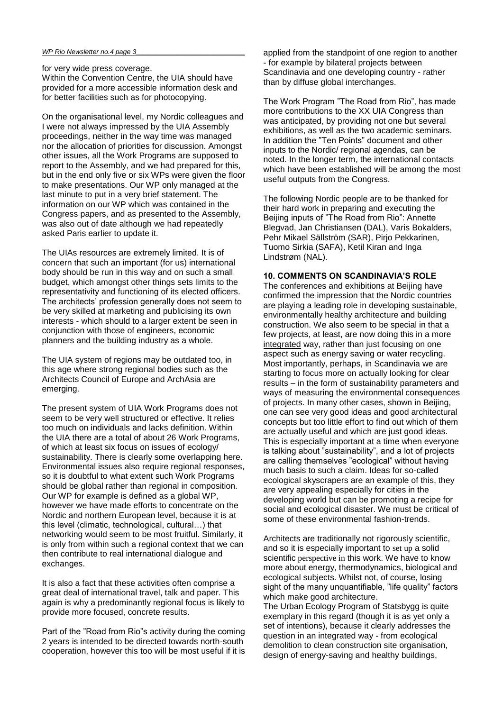#### *WP Rio Newsletter no.4 page 3\_\_\_\_\_\_\_\_\_\_\_\_\_\_\_\_\_\_\_\_\_\_\_\_\_\_\_\_\_*

for very wide press coverage.

Within the Convention Centre, the UIA should have provided for a more accessible information desk and for better facilities such as for photocopying.

On the organisational level, my Nordic colleagues and I were not always impressed by the UIA Assembly proceedings, neither in the way time was managed nor the allocation of priorities for discussion. Amongst other issues, all the Work Programs are supposed to report to the Assembly, and we had prepared for this, but in the end only five or six WPs were given the floor to make presentations. Our WP only managed at the last minute to put in a very brief statement. The information on our WP which was contained in the Congress papers, and as presented to the Assembly, was also out of date although we had repeatedly asked Paris earlier to update it.

The UIAs resources are extremely limited. It is of concern that such an important (for us) international body should be run in this way and on such a small budget, which amongst other things sets limits to the representativity and functioning of its elected officers. The architects' profession generally does not seem to be very skilled at marketing and publicising its own interests - which should to a larger extent be seen in conjunction with those of engineers, economic planners and the building industry as a whole.

The UIA system of regions may be outdated too, in this age where strong regional bodies such as the Architects Council of Europe and ArchAsia are emerging.

The present system of UIA Work Programs does not seem to be very well structured or effective. It relies too much on individuals and lacks definition. Within the UIA there are a total of about 26 Work Programs, of which at least six focus on issues of ecology/ sustainability. There is clearly some overlapping here. Environmental issues also require regional responses, so it is doubtful to what extent such Work Programs should be global rather than regional in composition. Our WP for example is defined as a global WP, however we have made efforts to concentrate on the Nordic and northern European level, because it is at this level (climatic, technological, cultural…) that networking would seem to be most fruitful. Similarly, it is only from within such a regional context that we can then contribute to real international dialogue and exchanges.

It is also a fact that these activities often comprise a great deal of international travel, talk and paper. This again is why a predominantly regional focus is likely to provide more focused, concrete results.

Part of the "Road from Rio"s activity during the coming 2 years is intended to be directed towards north-south cooperation, however this too will be most useful if it is applied from the standpoint of one region to another - for example by bilateral projects between Scandinavia and one developing country - rather than by diffuse global interchanges.

The Work Program "The Road from Rio", has made more contributions to the XX UIA Congress than was anticipated, by providing not one but several exhibitions, as well as the two academic seminars. In addition the "Ten Points" document and other inputs to the Nordic/ regional agendas, can be noted. In the longer term, the international contacts which have been established will be among the most useful outputs from the Congress.

The following Nordic people are to be thanked for their hard work in preparing and executing the Beijing inputs of "The Road from Rio": Annette Blegvad, Jan Christiansen (DAL), Varis Bokalders, Pehr Mikael Sällström (SAR), Pirjo Pekkarinen, Tuomo Sirkia (SAFA), Ketil Kiran and Inga Lindstrøm (NAL).

## **10. COMMENTS ON SCANDINAVIA'S ROLE**

The conferences and exhibitions at Beijing have confirmed the impression that the Nordic countries are playing a leading role in developing sustainable, environmentally healthy architecture and building construction. We also seem to be special in that a few projects, at least, are now doing this in a more integrated way, rather than just focusing on one aspect such as energy saving or water recycling. Most importantly, perhaps, in Scandinavia we are starting to focus more on actually looking for clear results – in the form of sustainability parameters and ways of measuring the environmental consequences of projects. In many other cases, shown in Beijing, one can see very good ideas and good architectural concepts but too little effort to find out which of them are actually useful and which are just good ideas. This is especially important at a time when everyone is talking about "sustainability", and a lot of projects are calling themselves "ecological" without having much basis to such a claim. Ideas for so-called ecological skyscrapers are an example of this, they are very appealing especially for cities in the developing world but can be promoting a recipe for social and ecological disaster. We must be critical of some of these environmental fashion-trends.

Architects are traditionally not rigorously scientific, and so it is especially important to set up a solid scientific perspective in this work. We have to know more about energy, thermodynamics, biological and ecological subjects. Whilst not, of course, losing sight of the many unquantifiable, "life quality" factors which make good architecture.

The Urban Ecology Program of Statsbygg is quite exemplary in this regard (though it is as yet only a set of intentions), because it clearly addresses the question in an integrated way - from ecological demolition to clean construction site organisation, design of energy-saving and healthy buildings,